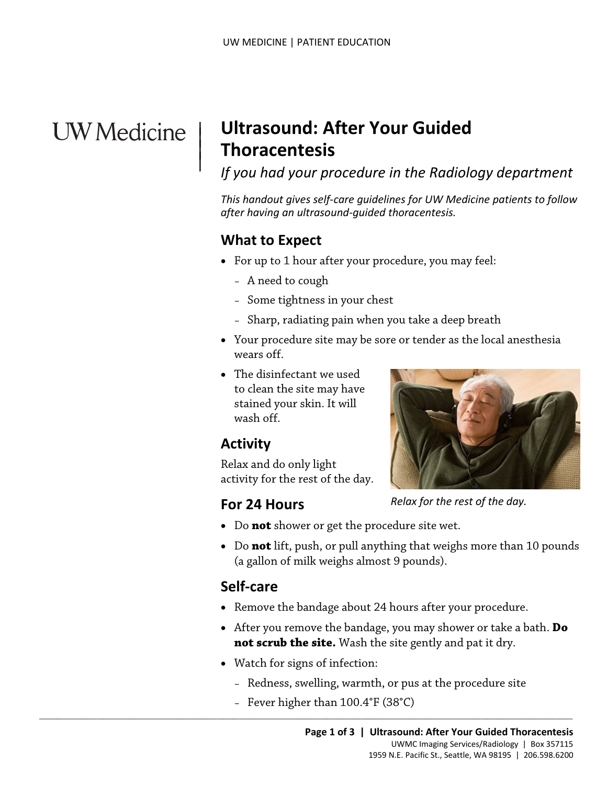# **UW** Medicine

|  $\vert$  $\vert$  $\vert$ 

## **Ultrasound: After Your Guided Thoracentesis**

## *If you had your procedure in the Radiology department*

*This handout gives self-care guidelines for UW Medicine patients to follow after having an ultrasound-guided thoracentesis.*

### **What to Expect**

- For up to 1 hour after your procedure, you may feel:
	- A need to cough
	- Some tightness in your chest
	- Sharp, radiating pain when you take a deep breath
- A need to cough<br>
 Some tightness in your chest<br>
 Sharp, radiating pain when you take a deep breath<br>
 Your procedure site may be sore or tender as the local anesth<br>
wears off.<br>
 The disinfectant we used<br>
to clean the • Your procedure site may be sore or tender as the local anesthesia wears off.
	- The disinfectant we used to clean the site may have stained your skin. It will wash off.

## **Activity**

Relax and do only light activity for the rest of the day.

#### **For 24 Hours**



*Relax for the rest of the day.* 

- Do **not** shower or get the procedure site wet.
- Do **not** lift, push, or pull anything that weighs more than 10 pounds (a gallon of milk weighs almost 9 pounds).

#### **Self-care**

- Remove the bandage about 24 hours after your procedure.
- After you remove the bandage, you may shower or take a bath. **Do not scrub the site.** Wash the site gently and pat it dry.
- Watch for signs of infection:

 $\_$  ,  $\_$  ,  $\_$  ,  $\_$  ,  $\_$  ,  $\_$  ,  $\_$  ,  $\_$  ,  $\_$  ,  $\_$  ,  $\_$  ,  $\_$  ,  $\_$  ,  $\_$  ,  $\_$  ,  $\_$  ,  $\_$  ,  $\_$  ,  $\_$  ,  $\_$  ,  $\_$  ,  $\_$  ,  $\_$  ,  $\_$  ,  $\_$  ,  $\_$  ,  $\_$  ,  $\_$  ,  $\_$  ,  $\_$  ,  $\_$  ,  $\_$  ,  $\_$  ,  $\_$  ,  $\_$  ,  $\_$  ,  $\_$  ,

- Redness, swelling, warmth, or pus at the procedure site
- Fever higher than 100.4°F (38°C)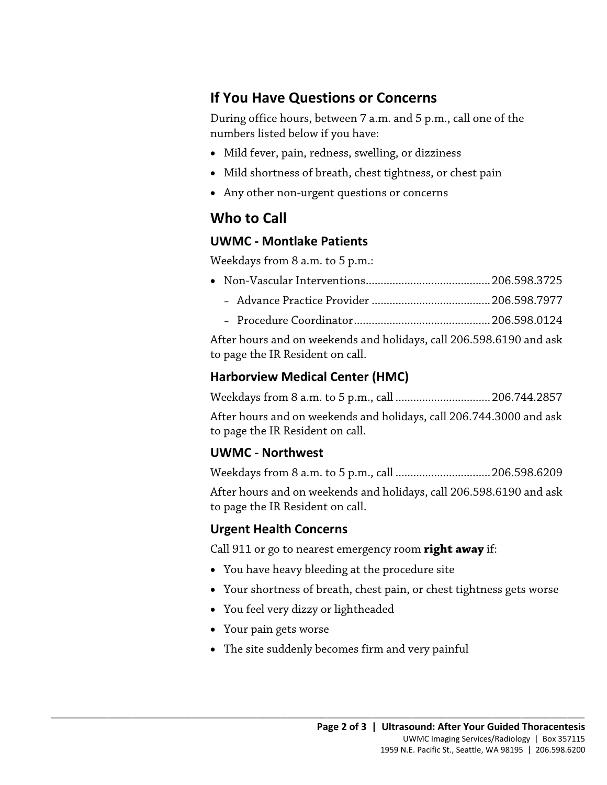### **If You Have Questions or Concerns**

During office hours, between 7 a.m. and 5 p.m., call one of the numbers listed below if you have:

- Mild fever, pain, redness, swelling, or dizziness
- Mild shortness of breath, chest tightness, or chest pain
- Any other non-urgent questions or concerns

## **Who to Call**

#### **UWMC - Montlake Patients**

Weekdays from 8 a.m. to 5 p.m.:

- Non-Vascular Interventions ..........................................206.598.3725
	- Advance Practice Provider ........................................206.598.7977
	- Procedure Coordinator..............................................206.598.0124

DRAFT After hours and on weekends and holidays, call 206.598.6190 and ask to page the IR Resident on call.

#### **Harborview Medical Center (HMC)**

Weekdays from 8 a.m. to 5 p.m., call ................................206.744.2857

After hours and on weekends and holidays, call 206.744.3000 and ask to page the IR Resident on call.

#### **UWMC - Northwest**

Weekdays from 8 a.m. to 5 p.m., call ................................206.598.6209

After hours and on weekends and holidays, call 206.598.6190 and ask to page the IR Resident on call.

#### **Urgent Health Concerns**

Call 911 or go to nearest emergency room **right away** if:

- You have heavy bleeding at the procedure site
- Your shortness of breath, chest pain, or chest tightness gets worse
- You feel very dizzy or lightheaded
- Your pain gets worse
- The site suddenly becomes firm and very painful

 $\_$  ,  $\_$  ,  $\_$  ,  $\_$  ,  $\_$  ,  $\_$  ,  $\_$  ,  $\_$  ,  $\_$  ,  $\_$  ,  $\_$  ,  $\_$  ,  $\_$  ,  $\_$  ,  $\_$  ,  $\_$  ,  $\_$  ,  $\_$  ,  $\_$  ,  $\_$  ,  $\_$  ,  $\_$  ,  $\_$  ,  $\_$  ,  $\_$  ,  $\_$  ,  $\_$  ,  $\_$  ,  $\_$  ,  $\_$  ,  $\_$  ,  $\_$  ,  $\_$  ,  $\_$  ,  $\_$  ,  $\_$  ,  $\_$  ,